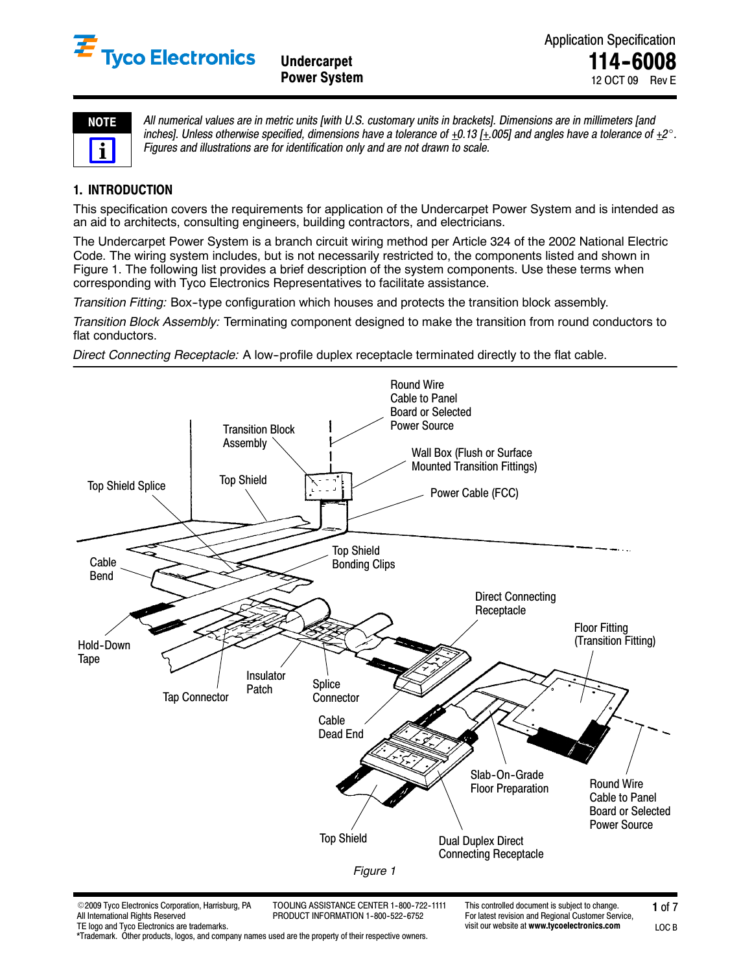

**Power System** 

LOC B

| ŋ<br>ı<br>Е |  |
|-------------|--|
|             |  |

*All numerical values are in metric units [with U.S. customary units in brackets]. Dimensions are in millimeters [and* inches]. Unless otherwise specified, dimensions have a tolerance of  $\pm 0.13$   $\pm 0.05$ ] and angles have a tolerance of  $\pm 2^\circ$ . *Figures and illustrations are for identification only and are not drawn to scale.*

# **1. INTRODUCTION**

This specification covers the requirements for application of the Undercarpet Power System and is intended as an aid to architects, consulting engineers, building contractors, and electricians.

The Undercarpet Power System is a branch circuit wiring method per Article 324 of the 2002 National Electric Code. The wiring system includes, but is not necessarily restricted to, the components listed and shown in Figure 1. The following list provides a brief description of the system components. Use these terms when corresponding with Tyco Electronics Representatives to facilitate assistance.

*Transition Fitting:* Box--type configuration which houses and protects the transition block assembly.

*Transition Block Assembly:* Terminating component designed to make the transition from round conductors to flat conductors.

*Direct Connecting Receptacle:* A low-profile duplex receptacle terminated directly to the flat cable.



| ©2009 Tyco Electronics Corporation. Harrisburg. PA | TOOLING ASSISTANCE CENTER 1-800-722-1111 | This controlled document is subiect to change.     |       |
|----------------------------------------------------|------------------------------------------|----------------------------------------------------|-------|
| All International Rights Reserved                  | PRODUCT INFORMATION 1-800-522-6752       | For latest revision and Regional Customer Service. |       |
| TE logo and Tvco Electronics are trademarks.       |                                          | visit our website at www.tvcoelectronics.com       | LOC B |

\*Trademark. Other products, logos, and company names used are the property of their respective owners.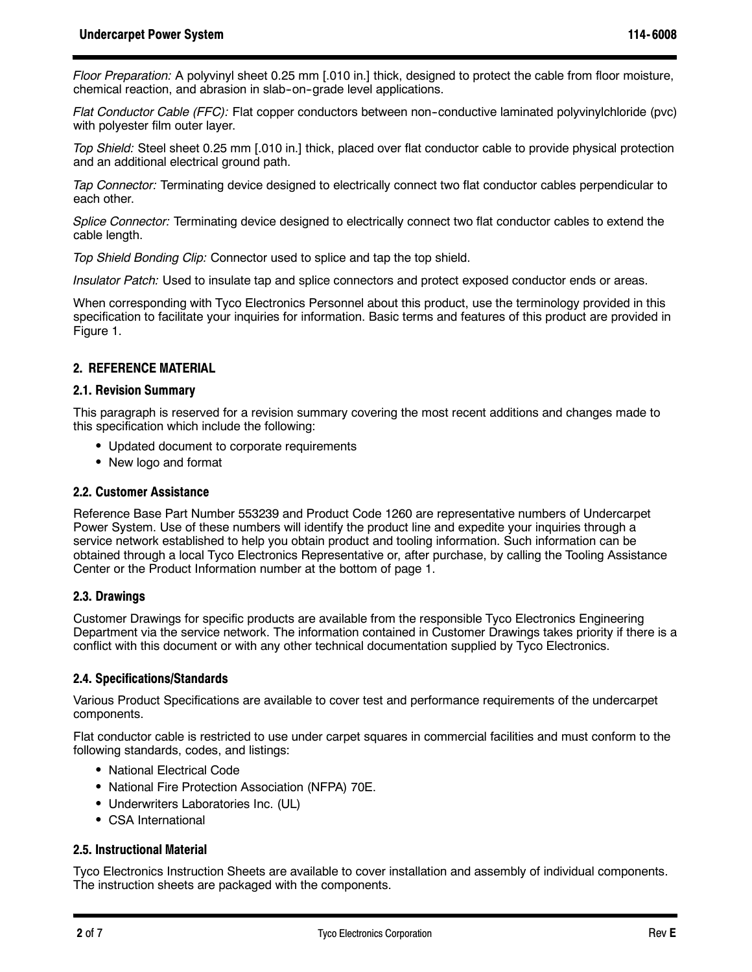*Floor Preparation:* A polyvinyl sheet 0.25 mm [.010 in.] thick, designed to protect the cable from floor moisture, chemical reaction, and abrasion in slab-on-grade level applications.

*Flat Conductor Cable (FFC):* Flat copper conductors between non-conductive laminated polyvinylchloride (pvc) with polyester film outer layer.

*Top Shield:* Steel sheet 0.25 mm [.010 in.] thick, placed over flat conductor cable to provide physical protection and an additional electrical ground path.

*Tap Connector:* Terminating device designed to electrically connect two flat conductor cables perpendicular to each other.

*Splice Connector:* Terminating device designed to electrically connect two flat conductor cables to extend the cable length.

*Top Shield Bonding Clip:* Connector used to splice and tap the top shield.

*Insulator Patch:* Used to insulate tap and splice connectors and protect exposed conductor ends or areas.

When corresponding with Tyco Electronics Personnel about this product, use the terminology provided in this specification to facilitate your inquiries for information. Basic terms and features of this product are provided in Figure 1.

### **2. REFERENCE MATERIAL**

#### **2.1. Revision Summary**

This paragraph is reserved for a revision summary covering the most recent additions and changes made to this specification which include the following:

- Updated document to corporate requirements
- New logo and format

#### **2.2. Customer Assistance**

Reference Base Part Number 553239 and Product Code 1260 are representative numbers of Undercarpet Power System. Use of these numbers will identify the product line and expedite your inquiries through a service network established to help you obtain product and tooling information. Such information can be obtained through a local Tyco Electronics Representative or, after purchase, by calling the Tooling Assistance Center or the Product Information number at the bottom of page 1.

### **2.3. Drawings**

Customer Drawings for specific products are available from the responsible Tyco Electronics Engineering Department via the service network. The information contained in Customer Drawings takes priority if there is a conflict with this document or with any other technical documentation supplied by Tyco Electronics.

### **2.4. Specifications/Standards**

Various Product Specifications are available to cover test and performance requirements of the undercarpet components.

Flat conductor cable is restricted to use under carpet squares in commercial facilities and must conform to the following standards, codes, and listings:

- National Electrical Code
- National Fire Protection Association (NFPA) 70E.
- Underwriters Laboratories Inc. (UL)
- CSA International

### **2.5. Instructional Material**

Tyco Electronics Instruction Sheets are available to cover installation and assembly of individual components. The instruction sheets are packaged with the components.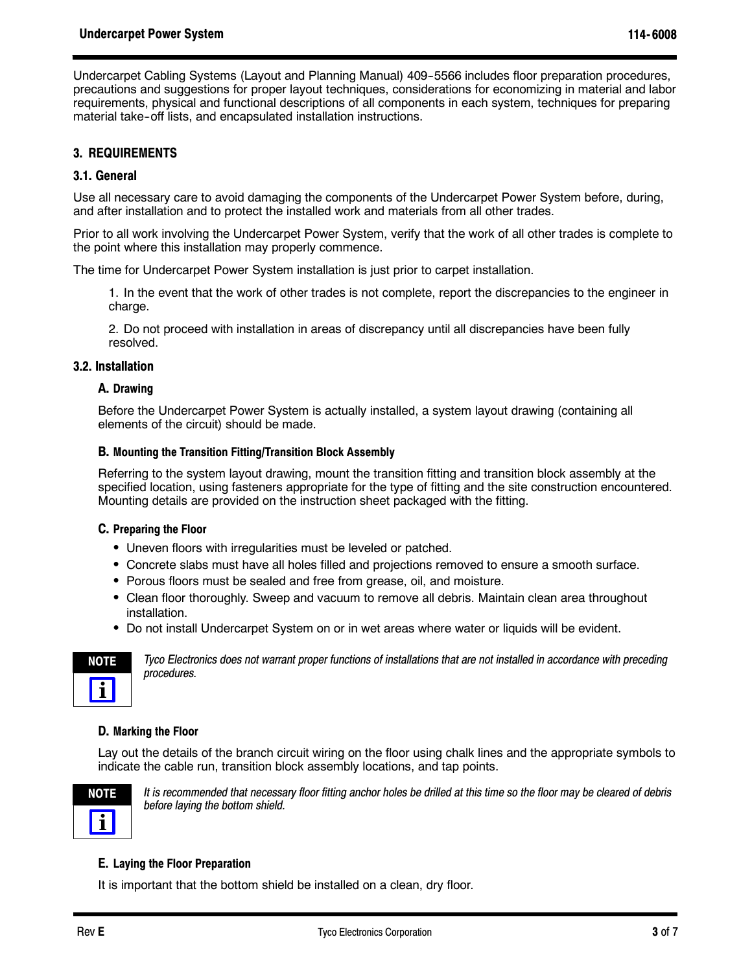Undercarpet Cabling Systems (Layout and Planning Manual) 409-5566 includes floor preparation procedures, precautions and suggestions for proper layout techniques, considerations for economizing in material and labor requirements, physical and functional descriptions of all components in each system, techniques for preparing material take-off lists, and encapsulated installation instructions.

# **3. REQUIREMENTS**

### **3.1. General**

Use all necessary care to avoid damaging the components of the Undercarpet Power System before, during, and after installation and to protect the installed work and materials from all other trades.

Prior to all work involving the Undercarpet Power System, verify that the work of all other trades is complete to the point where this installation may properly commence.

The time for Undercarpet Power System installation is just prior to carpet installation.

1. In the event that the work of other trades is not complete, report the discrepancies to the engineer in charge.

2. Do not proceed with installation in areas of discrepancy until all discrepancies have been fully resolved.

#### **3.2. Installation**

### **A. Drawing**

Before the Undercarpet Power System is actually installed, a system layout drawing (containing all elements of the circuit) should be made.

### **B. Mounting the Transition Fitting/Transition Block Assembly**

Referring to the system layout drawing, mount the transition fitting and transition block assembly at the specified location, using fasteners appropriate for the type of fitting and the site construction encountered. Mounting details are provided on the instruction sheet packaged with the fitting.

### **C. Preparing the Floor**

- Uneven floors with irregularities must be leveled or patched.
- Concrete slabs must have all holes filled and projections removed to ensure a smooth surface.
- Porous floors must be sealed and free from grease, oil, and moisture.
- Clean floor thoroughly. Sweep and vacuum to remove all debris. Maintain clean area throughout installation.
- Do not install Undercarpet System on or in wet areas where water or liquids will be evident.



*Tyco Electronics does not warrant proper functions of installations that are not installed in accordance with preceding procedures.*

### **D. Marking the Floor**

Lay out the details of the branch circuit wiring on the floor using chalk lines and the appropriate symbols to indicate the cable run, transition block assembly locations, and tap points.



*It is recommended that necessary floor fitting anchor holes be drilled at this time so the floor may be cleared of debris before laying the bottom shield.*

### **E. Laying the Floor Preparation**

It is important that the bottom shield be installed on a clean, dry floor.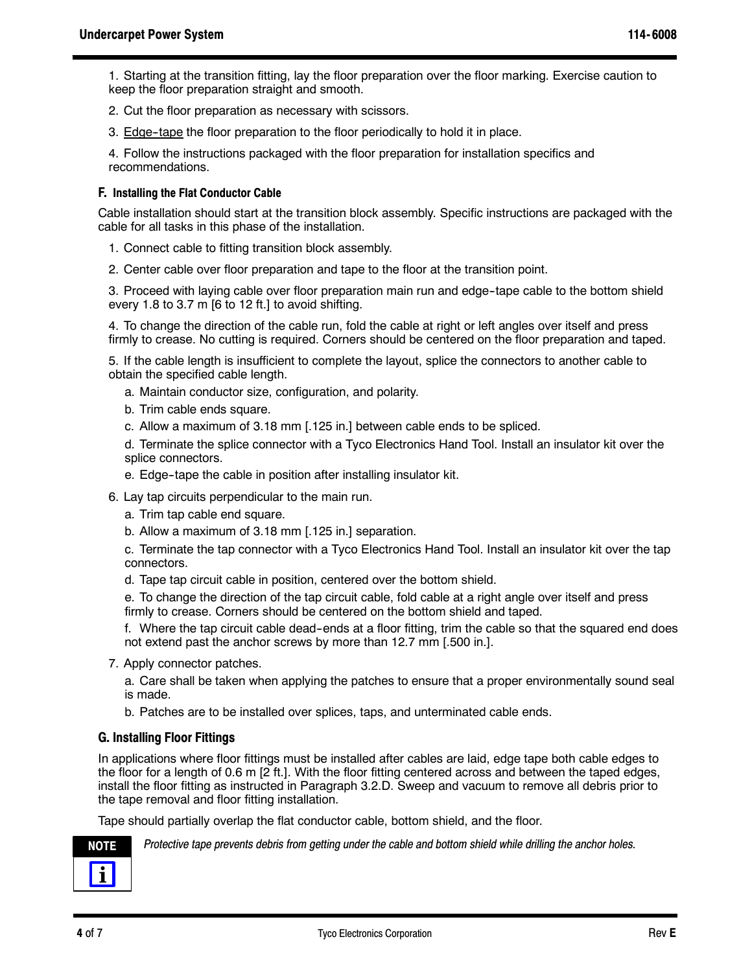1. Starting at the transition fitting, lay the floor preparation over the floor marking. Exercise caution to keep the floor preparation straight and smooth.

- 2. Cut the floor preparation as necessary with scissors.
- 3. Edge--tape the floor preparation to the floor periodically to hold it in place.

4. Follow the instructions packaged with the floor preparation for installation specifics and recommendations.

### **F. Installing the Flat Conductor Cable**

Cable installation should start at the transition block assembly. Specific instructions are packaged with the cable for all tasks in this phase of the installation.

- 1. Connect cable to fitting transition block assembly.
- 2. Center cable over floor preparation and tape to the floor at the transition point.

3. Proceed with laying cable over floor preparation main run and edge--tape cable to the bottom shield every 1.8 to 3.7 m [6 to 12 ft.] to avoid shifting.

4. To change the direction of the cable run, fold the cable at right or left angles over itself and press firmly to crease. No cutting is required. Corners should be centered on the floor preparation and taped.

5. If the cable length is insufficient to complete the layout, splice the connectors to another cable to obtain the specified cable length.

- a. Maintain conductor size, configuration, and polarity.
- b. Trim cable ends square.
- c. Allow a maximum of 3.18 mm [.125 in.] between cable ends to be spliced.

d. Terminate the splice connector with a Tyco Electronics Hand Tool. Install an insulator kit over the splice connectors.

- e. Edge--tape the cable in position after installing insulator kit.
- 6. Lay tap circuits perpendicular to the main run.
	- a. Trim tap cable end square.
	- b. Allow a maximum of 3.18 mm [.125 in.] separation.

c. Terminate the tap connector with a Tyco Electronics Hand Tool. Install an insulator kit over the tap connectors.

d. Tape tap circuit cable in position, centered over the bottom shield.

e. To change the direction of the tap circuit cable, fold cable at a right angle over itself and press firmly to crease. Corners should be centered on the bottom shield and taped.

f. Where the tap circuit cable dead-ends at a floor fitting, trim the cable so that the squared end does not extend past the anchor screws by more than 12.7 mm [.500 in.].

7. Apply connector patches.

a. Care shall be taken when applying the patches to ensure that a proper environmentally sound seal is made.

b. Patches are to be installed over splices, taps, and unterminated cable ends.

# **G. Installing Floor Fittings**

In applications where floor fittings must be installed after cables are laid, edge tape both cable edges to the floor for a length of 0.6 m [2 ft.]. With the floor fitting centered across and between the taped edges, install the floor fitting as instructed in Paragraph 3.2.D. Sweep and vacuum to remove all debris prior to the tape removal and floor fitting installation.

Tape should partially overlap the flat conductor cable, bottom shield, and the floor.



**NOTE** *Protective tape prevents debris from getting under the cable and bottom shield while drilling the anchor holes.*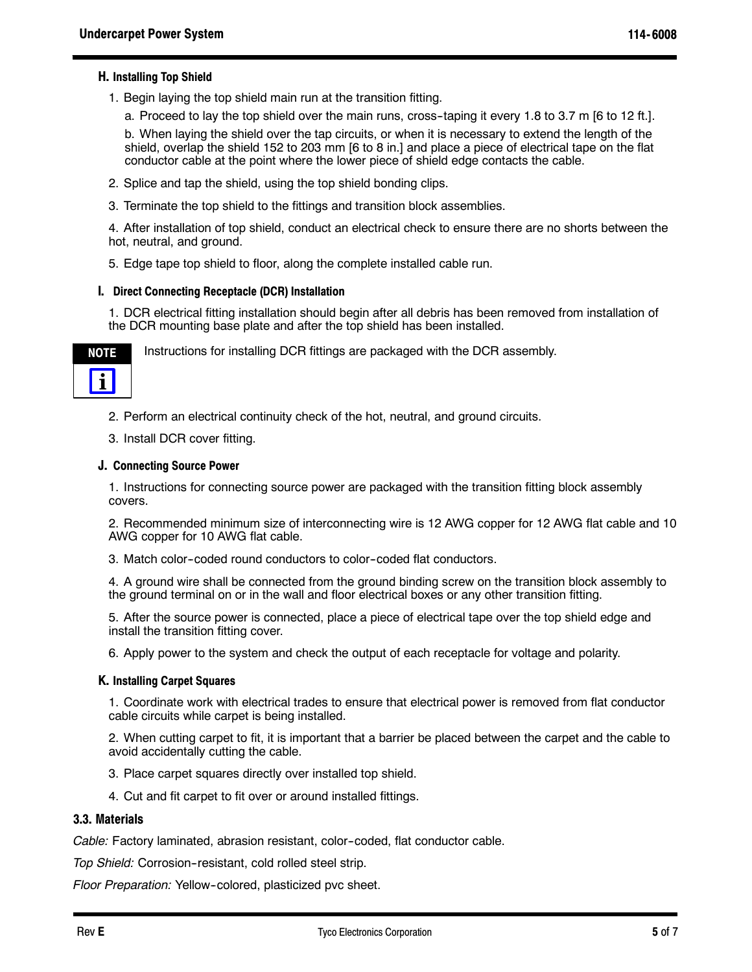# **H. Installing Top Shield**

1. Begin laying the top shield main run at the transition fitting.

a. Proceed to lay the top shield over the main runs, cross--taping it every 1.8 to 3.7 m [6 to 12 ft.].

b. When laying the shield over the tap circuits, or when it is necessary to extend the length of the shield, overlap the shield 152 to 203 mm [6 to 8 in.] and place a piece of electrical tape on the flat conductor cable at the point where the lower piece of shield edge contacts the cable.

- 2. Splice and tap the shield, using the top shield bonding clips.
- 3. Terminate the top shield to the fittings and transition block assemblies.

4. After installation of top shield, conduct an electrical check to ensure there are no shorts between the hot, neutral, and ground.

5. Edge tape top shield to floor, along the complete installed cable run.

#### **I. Direct Connecting Receptacle (DCR) Installation**

1. DCR electrical fitting installation should begin after all debris has been removed from installation of the DCR mounting base plate and after the top shield has been installed.



Instructions for installing DCR fittings are packaged with the DCR assembly.

2. Perform an electrical continuity check of the hot, neutral, and ground circuits.

3. Install DCR cover fitting.

#### **J. Connecting Source Power**

1. Instructions for connecting source power are packaged with the transition fitting block assembly covers.

2. Recommended minimum size of interconnecting wire is 12 AWG copper for 12 AWG flat cable and 10 AWG copper for 10 AWG flat cable.

3. Match color--coded round conductors to color--coded flat conductors.

4. A ground wire shall be connected from the ground binding screw on the transition block assembly to the ground terminal on or in the wall and floor electrical boxes or any other transition fitting.

5. After the source power is connected, place a piece of electrical tape over the top shield edge and install the transition fitting cover.

6. Apply power to the system and check the output of each receptacle for voltage and polarity.

#### **K. Installing Carpet Squares**

1. Coordinate work with electrical trades to ensure that electrical power is removed from flat conductor cable circuits while carpet is being installed.

2. When cutting carpet to fit, it is important that a barrier be placed between the carpet and the cable to avoid accidentally cutting the cable.

- 3. Place carpet squares directly over installed top shield.
- 4. Cut and fit carpet to fit over or around installed fittings.

### **3.3. Materials**

*Cable:* Factory laminated, abrasion resistant, color--coded, flat conductor cable.

*Top Shield:* Corrosion--resistant, cold rolled steel strip.

Floor Preparation: Yellow-colored, plasticized pvc sheet.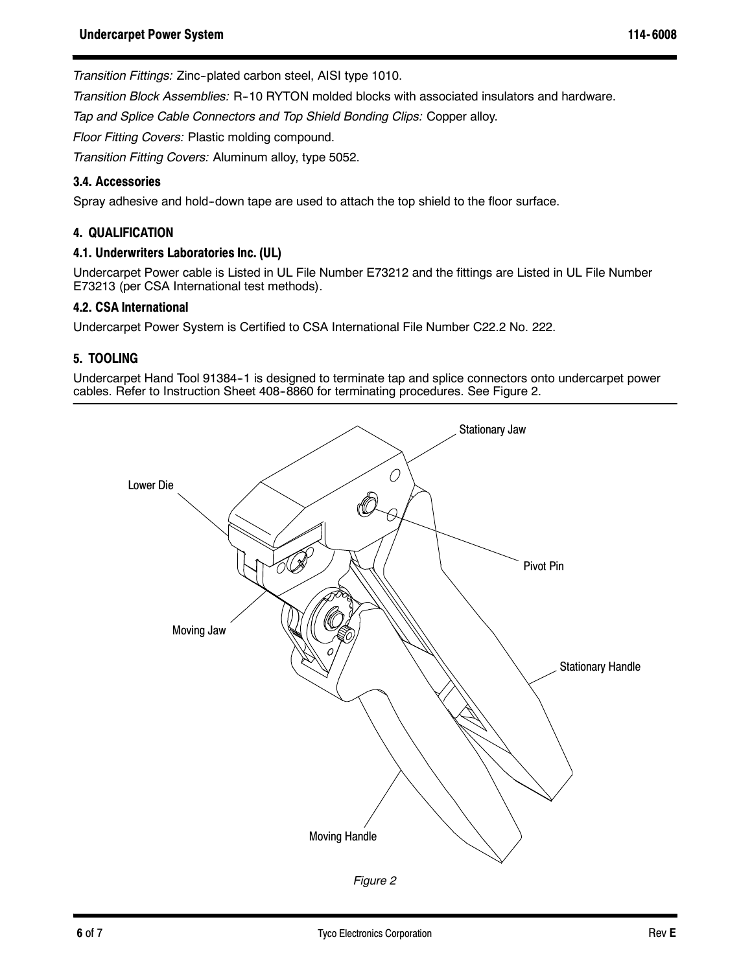*Transition Fittings:* Zinc--plated carbon steel, AISI type 1010.

*Transition Block Assemblies:* R--10 RYTON molded blocks with associated insulators and hardware.

*Tap and Splice Cable Connectors and Top Shield Bonding Clips:* Copper alloy.

*Floor Fitting Covers:* Plastic molding compound.

*Transition Fitting Covers:* Aluminum alloy, type 5052.

# **3.4. Accessories**

Spray adhesive and hold--down tape are used to attach the top shield to the floor surface.

# **4. QUALIFICATION**

### **4.1. Underwriters Laboratories Inc. (UL)**

Undercarpet Power cable is Listed in UL File Number E73212 and the fittings are Listed in UL File Number E73213 (per CSA International test methods).

### **4.2. CSA International**

Undercarpet Power System is Certified to CSA International File Number C22.2 No. 222.

# **5. TOOLING**

Undercarpet Hand Tool 91384-1 is designed to terminate tap and splice connectors onto undercarpet power cables. Refer to Instruction Sheet 408-8860 for terminating procedures. See Figure 2.